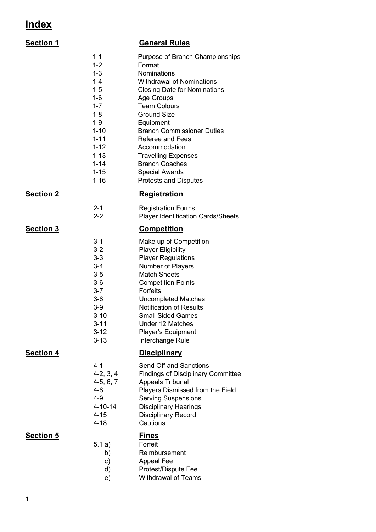## **Index**

| <b>Section 1</b> |                                                                                                                                                                                   | <b>General Rules</b>                                                                                                                                                                                                                                                                                                                                                                                         |
|------------------|-----------------------------------------------------------------------------------------------------------------------------------------------------------------------------------|--------------------------------------------------------------------------------------------------------------------------------------------------------------------------------------------------------------------------------------------------------------------------------------------------------------------------------------------------------------------------------------------------------------|
|                  | $1 - 1$<br>$1 - 2$<br>$1 - 3$<br>$1 - 4$<br>$1 - 5$<br>$1-6$<br>$1 - 7$<br>$1 - 8$<br>$1 - 9$<br>$1 - 10$<br>$1 - 11$<br>$1 - 12$<br>$1 - 13$<br>$1 - 14$<br>$1 - 15$<br>$1 - 16$ | Purpose of Branch Championships<br>Format<br><b>Nominations</b><br><b>Withdrawal of Nominations</b><br><b>Closing Date for Nominations</b><br>Age Groups<br><b>Team Colours</b><br><b>Ground Size</b><br>Equipment<br><b>Branch Commissioner Duties</b><br>Referee and Fees<br>Accommodation<br><b>Travelling Expenses</b><br><b>Branch Coaches</b><br><b>Special Awards</b><br><b>Protests and Disputes</b> |
| <b>Section 2</b> |                                                                                                                                                                                   | <b>Registration</b>                                                                                                                                                                                                                                                                                                                                                                                          |
|                  | $2 - 1$<br>$2 - 2$                                                                                                                                                                | <b>Registration Forms</b><br><b>Player Identification Cards/Sheets</b>                                                                                                                                                                                                                                                                                                                                       |
| <b>Section 3</b> |                                                                                                                                                                                   | <b>Competition</b>                                                                                                                                                                                                                                                                                                                                                                                           |
|                  | $3 - 1$<br>$3-2$<br>$3 - 3$<br>3-4<br>$3-5$<br>3-6<br>$3 - 7$<br>3-8<br>$3-9$<br>$3 - 10$<br>$3 - 11$<br>$3-12$<br>$3 - 13$                                                       | Make up of Competition<br><b>Player Eligibility</b><br><b>Player Regulations</b><br><b>Number of Players</b><br><b>Match Sheets</b><br><b>Competition Points</b><br><b>Forfeits</b><br><b>Uncompleted Matches</b><br><b>Notification of Results</b><br><b>Small Sided Games</b><br>Under 12 Matches<br>Player's Equipment<br>Interchange Rule                                                                |
| <b>Section 4</b> |                                                                                                                                                                                   | <b>Disciplinary</b>                                                                                                                                                                                                                                                                                                                                                                                          |
|                  | $4 - 1$<br>$4-2, 3, 4$<br>$4-5, 6, 7$<br>$4 - 8$<br>$4 - 9$<br>$4 - 10 - 14$<br>$4 - 15$<br>$4 - 18$                                                                              | Send Off and Sanctions<br><b>Findings of Disciplinary Committee</b><br>Appeals Tribunal<br>Players Dismissed from the Field<br><b>Serving Suspensions</b><br><b>Disciplinary Hearings</b><br><b>Disciplinary Record</b><br>Cautions                                                                                                                                                                          |
| <b>Section 5</b> | 5.1 a)<br>b)<br>c)<br>d)<br>e)                                                                                                                                                    | <u>Fines</u><br>Forfeit<br>Reimbursement<br>Appeal Fee<br>Protest/Dispute Fee<br><b>Withdrawal of Teams</b>                                                                                                                                                                                                                                                                                                  |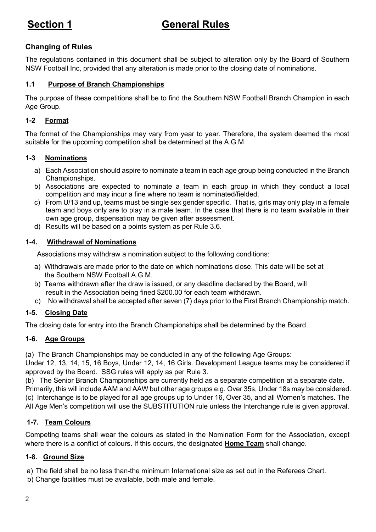## **Section 1 General Rules**

#### **Changing of Rules**

The regulations contained in this document shall be subject to alteration only by the Board of Southern NSW Football Inc, provided that any alteration is made prior to the closing date of nominations.

#### **1.1 Purpose of Branch Championships**

The purpose of these competitions shall be to find the Southern NSW Football Branch Champion in each Age Group.

#### **1-2 Format**

The format of the Championships may vary from year to year. Therefore, the system deemed the most suitable for the upcoming competition shall be determined at the A.G.M

#### **1-3 Nominations**

- a) Each Association should aspire to nominate a team in each age group being conducted in the Branch Championships.
- b) Associations are expected to nominate a team in each group in which they conduct a local competition and may incur a fine where no team is nominated/fielded.
- c) From U/13 and up, teams must be single sex gender specific. That is, girls may only play in a female team and boys only are to play in a male team. In the case that there is no team available in their own age group, dispensation may be given after assessment.
- d) Results will be based on a points system as per Rule 3.6.

#### **1-4. Withdrawal of Nominations**

Associations may withdraw a nomination subject to the following conditions:

- a) Withdrawals are made prior to the date on which nominations close. This date will be set at the Southern NSW Football A.G.M.
- b) Teams withdrawn after the draw is issued, or any deadline declared by the Board, will result in the Association being fined \$200.00 for each team withdrawn.
- c) No withdrawal shall be accepted after seven (7) days prior to the First Branch Championship match.

#### **1-5. Closing Date**

The closing date for entry into the Branch Championships shall be determined by the Board.

#### **1-6. Age Groups**

(a) The Branch Championships may be conducted in any of the following Age Groups:

Under 12, 13, 14, 15, 16 Boys, Under 12, 14, 16 Girls. Development League teams may be considered if approved by the Board. SSG rules will apply as per Rule 3.

(b) The Senior Branch Championships are currently held as a separate competition at a separate date. Primarily, this will include AAM and AAW but other age groups e.g. Over 35s, Under 18s may be considered. (c) Interchange is to be played for all age groups up to Under 16, Over 35, and all Women's matches. The All Age Men's competition will use the SUBSTITUTION rule unless the Interchange rule is given approval.

#### **1-7. Team Colours**

Competing teams shall wear the colours as stated in the Nomination Form for the Association, except where there is a conflict of colours. If this occurs, the designated **Home Team** shall change.

#### **1-8. Ground Size**

a) The field shall be no less than-the minimum International size as set out in the Referees Chart.

b) Change facilities must be available, both male and female.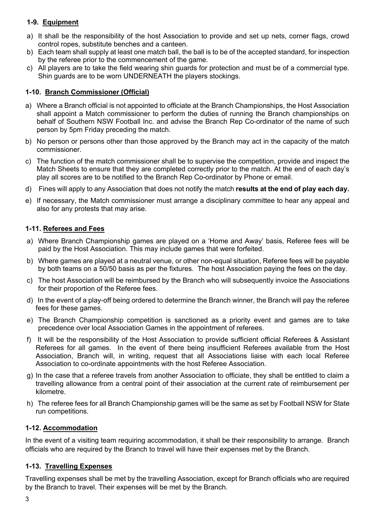#### **1-9. Equipment**

- a) It shall be the responsibility of the host Association to provide and set up nets, corner flags, crowd control ropes, substitute benches and a canteen.
- b) Each team shall supply at least one match ball, the ball is to be of the accepted standard, for inspection by the referee prior to the commencement of the game.
- c) All players are to take the field wearing shin guards for protection and must be of a commercial type. Shin guards are to be worn UNDERNEATH the players stockings.

#### **1-10. Branch Commissioner (Official)**

- a) Where a Branch official is not appointed to officiate at the Branch Championships, the Host Association shall appoint a Match commissioner to perform the duties of running the Branch championships on behalf of Southern NSW Football Inc. and advise the Branch Rep Co-ordinator of the name of such person by 5pm Friday preceding the match.
- b) No person or persons other than those approved by the Branch may act in the capacity of the match commissioner.
- c) The function of the match commissioner shall be to supervise the competition, provide and inspect the Match Sheets to ensure that they are completed correctly prior to the match. At the end of each day's play all scores are to be notified to the Branch Rep Co-ordinator by Phone or email.
- d) Fines will apply to any Association that does not notify the match **results at the end of play each day.**
- e) If necessary, the Match commissioner must arrange a disciplinary committee to hear any appeal and also for any protests that may arise.

#### **1-11. Referees and Fees**

- a) Where Branch Championship games are played on a 'Home and Away' basis, Referee fees will be paid by the Host Association. This may include games that were forfeited.
- b) Where games are played at a neutral venue, or other non-equal situation, Referee fees will be payable by both teams on a 50/50 basis as per the fixtures. The host Association paying the fees on the day.
- c) The host Association will be reimbursed by the Branch who will subsequently invoice the Associations for their proportion of the Referee fees.
- d) In the event of a play-off being ordered to determine the Branch winner, the Branch will pay the referee fees for these games.
- e) The Branch Championship competition is sanctioned as a priority event and games are to take precedence over local Association Games in the appointment of referees.
- f) It will be the responsibility of the Host Association to provide sufficient official Referees & Assistant Referees for all games. In the event of there being insufficient Referees available from the Host Association, Branch will, in writing, request that all Associations liaise with each local Referee Association to co-ordinate appointments with the host Referee Association.
- g) In the case that a referee travels from another Association to officiate, they shall be entitled to claim a travelling allowance from a central point of their association at the current rate of reimbursement per kilometre.
- h) The referee fees for all Branch Championship games will be the same as set by Football NSW for State run competitions.

#### **1-12. Accommodation**

In the event of a visiting team requiring accommodation, it shall be their responsibility to arrange. Branch officials who are required by the Branch to travel will have their expenses met by the Branch.

#### **1-13. Travelling Expenses**

Travelling expenses shall be met by the travelling Association, except for Branch officials who are required by the Branch to travel. Their expenses will be met by the Branch.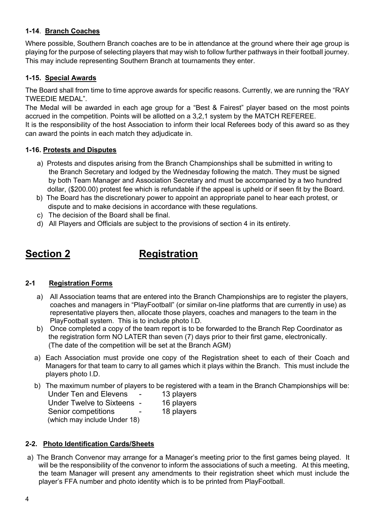#### **1-14**. **Branch Coaches**

Where possible, Southern Branch coaches are to be in attendance at the ground where their age group is playing for the purpose of selecting players that may wish to follow further pathways in their football journey. This may include representing Southern Branch at tournaments they enter.

#### **1-15. Special Awards**

The Board shall from time to time approve awards for specific reasons. Currently, we are running the "RAY TWEEDIE MEDAL".

The Medal will be awarded in each age group for a "Best & Fairest" player based on the most points accrued in the competition. Points will be allotted on a 3,2,1 system by the MATCH REFEREE.

It is the responsibility of the host Association to inform their local Referees body of this award so as they can award the points in each match they adjudicate in.

#### **1-16. Protests and Disputes**

- a) Protests and disputes arising from the Branch Championships shall be submitted in writing to the Branch Secretary and lodged by the Wednesday following the match. They must be signed by both Team Manager and Association Secretary and must be accompanied by a two hundred dollar, (\$200.00) protest fee which is refundable if the appeal is upheld or if seen fit by the Board.
- b) The Board has the discretionary power to appoint an appropriate panel to hear each protest, or dispute and to make decisions in accordance with these regulations.
- c) The decision of the Board shall be final.
- d) All Players and Officials are subject to the provisions of section 4 in its entirety.

## **Section 2** Registration

#### **2-1 Registration Forms**

- a) All Association teams that are entered into the Branch Championships are to register the players, coaches and managers in "PlayFootball" (or similar on-line platforms that are currently in use) as representative players then, allocate those players, coaches and managers to the team in the PlayFootball system. This is to include photo I.D.
- b) Once completed a copy of the team report is to be forwarded to the Branch Rep Coordinator as the registration form NO LATER than seven (7) days prior to their first game, electronically. (The date of the competition will be set at the Branch AGM)
- a) Each Association must provide one copy of the Registration sheet to each of their Coach and Managers for that team to carry to all games which it plays within the Branch. This must include the players photo I.D.
- b) The maximum number of players to be registered with a team in the Branch Championships will be:

| <b>Under Ten and Elevens</b> |   | 13 players |
|------------------------------|---|------------|
| Under Twelve to Sixteens -   |   | 16 players |
| Senior competitions          | - | 18 players |
| (which may include Under 18) |   |            |

#### **2-2. Photo Identification Cards/Sheets**

a) The Branch Convenor may arrange for a Manager's meeting prior to the first games being played. It will be the responsibility of the convenor to inform the associations of such a meeting. At this meeting, the team Manager will present any amendments to their registration sheet which must include the player's FFA number and photo identity which is to be printed from PlayFootball.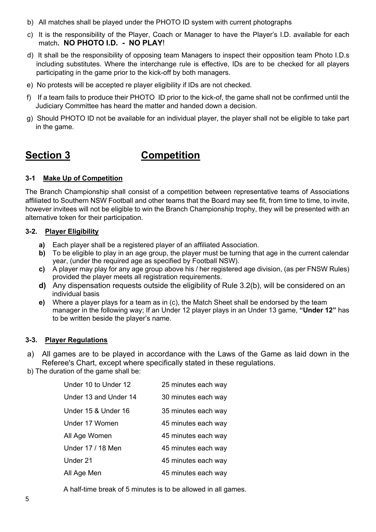- b) All matches shall be played under the PHOTO ID system with current photographs
- c) It is the responsibility of the Player, Coach or Manager to have the Player's I.D. available for each match**. NO PHOTO I.D. - NO PLAY**!
- d) It shall be the responsibility of opposing team Managers to inspect their opposition team Photo I.D.s including substitutes. Where the interchange rule is effective, IDs are to be checked for all players participating in the game prior to the kick-off by both managers.
- e) No protests will be accepted re player eligibility if IDs are not checked.
- f) If a team fails to produce their PHOTO ID prior to the kick-of, the game shall not be confirmed until the Judiciary Committee has heard the matter and handed down a decision.
- g) Should PHOTO ID not be available for an individual player, the player shall not be eligible to take part in the game.

# **Section 3 Competition**

#### **3-1 Make Up of Competition**

The Branch Championship shall consist of a competition between representative teams of Associations affiliated to Southern NSW Football and other teams that the Board may see fit, from time to time, to invite, however invitees will not be eligible to win the Branch Championship trophy, they will be presented with an alternative token for their participation.

#### **3-2. Player Eligibility**

- **a)** Each player shall be a registered player of an affiliated Association.
- **b)** To be eligible to play in an age group, the player must be turning that age in the current calendar year, (under the required age as specified by Football NSW).
- **c)** A player may play for any age group above his / her registered age division, (as per FNSW Rules) provided the player meets all registration requirements.
- **d)** Any dispensation requests outside the eligibility of Rule 3.2(b), will be considered on an individual basis
- **e)** Where a player plays for a team as in (c), the Match Sheet shall be endorsed by the team manager in the following way; If an Under 12 player plays in an Under 13 game, **"Under 12"** has to be written beside the player's name.

#### **3-3. Player Regulations**

- a) All games are to be played in accordance with the Laws of the Game as laid down in the Referee's Chart, except where specifically stated in these regulations.
- b) The duration of the game shall be:

| Under 10 to Under 12  | 25 minutes each way |
|-----------------------|---------------------|
| Under 13 and Under 14 | 30 minutes each way |
| Under 15 & Under 16   | 35 minutes each way |
| Under 17 Women        | 45 minutes each way |
| All Age Women         | 45 minutes each way |
| Under 17 / 18 Men     | 45 minutes each way |
| Under 21              | 45 minutes each way |
| All Age Men           | 45 minutes each way |

A half-time break of 5 minutes is to be allowed in all games.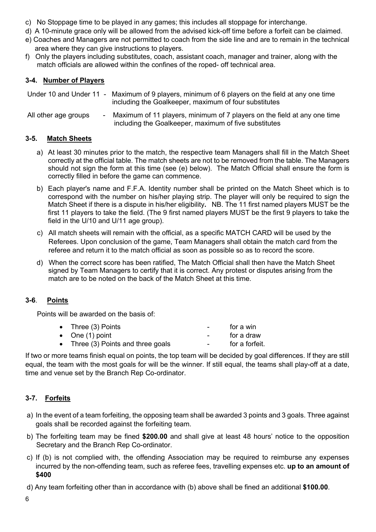- c) No Stoppage time to be played in any games; this includes all stoppage for interchange.
- d) A 10-minute grace only will be allowed from the advised kick-off time before a forfeit can be claimed.
- e) Coaches and Managers are not permitted to coach from the side line and are to remain in the technical area where they can give instructions to players.
- f) Only the players including substitutes, coach, assistant coach, manager and trainer, along with the match officials are allowed within the confines of the roped- off technical area.

#### **3-4. Number of Players**

Under 10 and Under 11 - Maximum of 9 players, minimum of 6 players on the field at any one time including the Goalkeeper, maximum of four substitutes

All other age groups - Maximum of 11 players, minimum of 7 players on the field at any one time including the Goalkeeper, maximum of five substitutes

#### **3-5. Match Sheets**

- a) At least 30 minutes prior to the match, the respective team Managers shall fill in the Match Sheet correctly at the official table. The match sheets are not to be removed from the table. The Managers should not sign the form at this time (see (e) below). The Match Official shall ensure the form is correctly filled in before the game can commence.
- b) Each player's name and F.F.A. Identity number shall be printed on the Match Sheet which is to correspond with the number on his/her playing strip. The player will only be required to sign the Match Sheet if there is a dispute in his/her eligibility**.** NB. The 11 first named players MUST be the first 11 players to take the field. (The 9 first named players MUST be the first 9 players to take the field in the U/10 and U/11 age group).
- c) All match sheets will remain with the official, as a specific MATCH CARD will be used by the Referees. Upon conclusion of the game, Team Managers shall obtain the match card from the referee and return it to the match official as soon as possible so as to record the score.
- d) When the correct score has been ratified, The Match Official shall then have the Match Sheet signed by Team Managers to certify that it is correct. Any protest or disputes arising from the match are to be noted on the back of the Match Sheet at this time.

#### **3-6**. **Points**

Points will be awarded on the basis of:

| • Three (3) Points                 | $\sim$           | for a win      |
|------------------------------------|------------------|----------------|
| • One $(1)$ point                  | $\sim$           | for a draw     |
| • Three (3) Points and three goals | $\sim$ 100 $\mu$ | for a forfeit. |

If two or more teams finish equal on points, the top team will be decided by goal differences. If they are still equal, the team with the most goals for will be the winner. If still equal, the teams shall play-off at a date, time and venue set by the Branch Rep Co-ordinator.

#### **3-7. Forfeits**

- a) In the event of a team forfeiting, the opposing team shall be awarded 3 points and 3 goals. Three against goals shall be recorded against the forfeiting team.
- b) The forfeiting team may be fined **\$200.00** and shall give at least 48 hours' notice to the opposition Secretary and the Branch Rep Co-ordinator.
- c) If (b) is not complied with, the offending Association may be required to reimburse any expenses incurred by the non-offending team, such as referee fees, travelling expenses etc. **up to an amount of \$400**
- d) Any team forfeiting other than in accordance with (b) above shall be fined an additional **\$100.00**.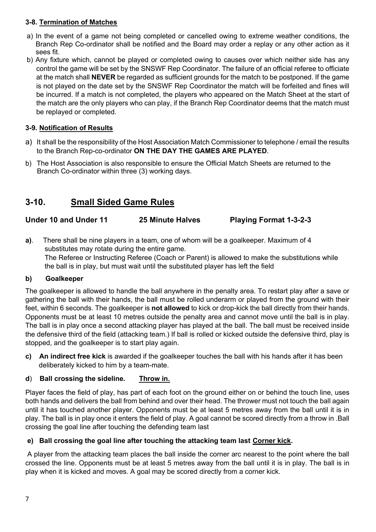#### **3-8. Termination of Matches**

- a) In the event of a game not being completed or cancelled owing to extreme weather conditions, the Branch Rep Co-ordinator shall be notified and the Board may order a replay or any other action as it sees fit.
- b) Any fixture which, cannot be played or completed owing to causes over which neither side has any control the game will be set by the SNSWF Rep Coordinator. The failure of an official referee to officiate at the match shall **NEVER** be regarded as sufficient grounds for the match to be postponed. If the game is not played on the date set by the SNSWF Rep Coordinator the match will be forfeited and fines will be incurred. If a match is not completed, the players who appeared on the Match Sheet at the start of the match are the only players who can play, if the Branch Rep Coordinator deems that the match must be replayed or completed.

#### **3-9. Notification of Results**

- a) It shall be the responsibility of the Host Association Match Commissioner to telephone / email the results to the Branch Rep-co-ordinator **ON THE DAY THE GAMES ARE PLAYED**.
- b) The Host Association is also responsible to ensure the Official Match Sheets are returned to the Branch Co-ordinator within three (3) working days.

## **3-10. Small Sided Game Rules**

- **Under 10 and Under 11 25 Minute Halves Playing Format 1-3-2-3**
- **a)**. There shall be nine players in a team, one of whom will be a goalkeeper. Maximum of 4 substitutes may rotate during the entire game. The Referee or Instructing Referee (Coach or Parent) is allowed to make the substitutions while the ball is in play, but must wait until the substituted player has left the field

#### **b) Goalkeeper**

The goalkeeper is allowed to handle the ball anywhere in the penalty area. To restart play after a save or gathering the ball with their hands, the ball must be rolled underarm or played from the ground with their feet, within 6 seconds. The goalkeeper is **not allowed** to kick or drop-kick the ball directly from their hands. Opponents must be at least 10 metres outside the penalty area and cannot move until the ball is in play. The ball is in play once a second attacking player has played at the ball. The ball must be received inside the defensive third of the field (attacking team.) If ball is rolled or kicked outside the defensive third, play is stopped, and the goalkeeper is to start play again.

**c) An indirect free kick** is awarded if the goalkeeper touches the ball with his hands after it has been deliberately kicked to him by a team-mate.

#### **d**) **Ball crossing the sideline. Throw in.**

Player faces the field of play, has part of each foot on the ground either on or behind the touch line, uses both hands and delivers the ball from behind and over their head. The thrower must not touch the ball again until it has touched another player. Opponents must be at least 5 metres away from the ball until it is in play. The ball is in play once it enters the field of play. A goal cannot be scored directly from a throw in .Ball crossing the goal line after touching the defending team last

#### **e) Ball crossing the goal line after touching the attacking team last Corner kick.**

A player from the attacking team places the ball inside the corner arc nearest to the point where the ball crossed the line. Opponents must be at least 5 metres away from the ball until it is in play. The ball is in play when it is kicked and moves. A goal may be scored directly from a corner kick.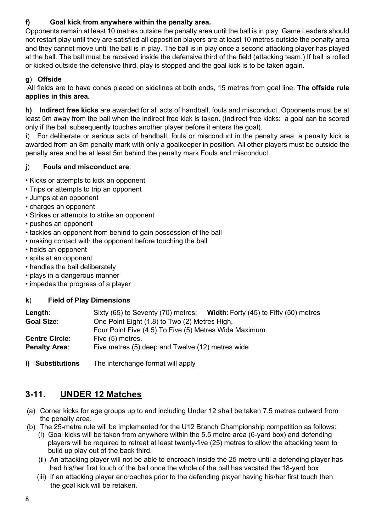### **f) Goal kick from anywhere within the penalty area.**

Opponents remain at least 10 metres outside the penalty area until the ball is in play. Game Leaders should not restart play until they are satisfied all opposition players are at least 10 metres outside the penalty area and they cannot move until the ball is in play. The ball is in play once a second attacking player has played at the ball. The ball must be received inside the defensive third of the field (attacking team.) If ball is rolled or kicked outside the defensive third, play is stopped and the goal kick is to be taken again.

### **g**) **Offside**

All fields are to have cones placed on sidelines at both ends, 15 metres from goal line. **The offside rule applies in this area.**

**h) Indirect free kicks** are awarded for all acts of handball, fouls and misconduct. Opponents must be at least 5m away from the ball when the indirect free kick is taken. (Indirect free kicks: a goal can be scored only if the ball subsequently touches another player before it enters the goal).

**i**) For deliberate or serious acts of handball, fouls or misconduct in the penalty area, a penalty kick is awarded from an 8m penalty mark with only a goalkeeper in position. All other players must be outside the penalty area and be at least 5m behind the penalty mark Fouls and misconduct.

#### **j**) **Fouls and misconduct are**:

• Kicks or attempts to kick an opponent

- Trips or attempts to trip an opponent
- Jumps at an opponent
- charges an opponent
- Strikes or attempts to strike an opponent
- pushes an opponent
- tackles an opponent from behind to gain possession of the ball
- making contact with the opponent before touching the ball
- holds an opponent
- spits at an opponent
- handles the ball deliberately
- plays in a dangerous manner
- impedes the progress of a player

#### **k**) **Field of Play Dimensions**

| Length:               | Sixty (65) to Seventy (70) metres; Width: Forty (45) to Fifty (50) metres |
|-----------------------|---------------------------------------------------------------------------|
| <b>Goal Size:</b>     | One Point Eight (1.8) to Two (2) Metres High,                             |
|                       | Four Point Five (4.5) To Five (5) Metres Wide Maximum.                    |
| <b>Centre Circle:</b> | Five (5) metres.                                                          |
| <b>Penalty Area:</b>  | Five metres (5) deep and Twelve (12) metres wide                          |
|                       |                                                                           |

**l) Substitutions** The interchange format will apply

## **3-11. UNDER 12 Matches**

- (a) Corner kicks for age groups up to and including Under 12 shall be taken 7.5 metres outward from the penalty area.
- (b) The 25-metre rule will be implemented for the U12 Branch Championship competition as follows:
	- (i) Goal kicks will be taken from anywhere within the 5.5 metre area (6-yard box) and defending players will be required to retreat at least twenty-five (25) metres to allow the attacking team to build up play out of the back third.
	- (ii) An attacking player will not be able to encroach inside the 25 metre until a defending player has had his/her first touch of the ball once the whole of the ball has vacated the 18-yard box
	- (iii) If an attacking player encroaches prior to the defending player having his/her first touch then the goal kick will be retaken.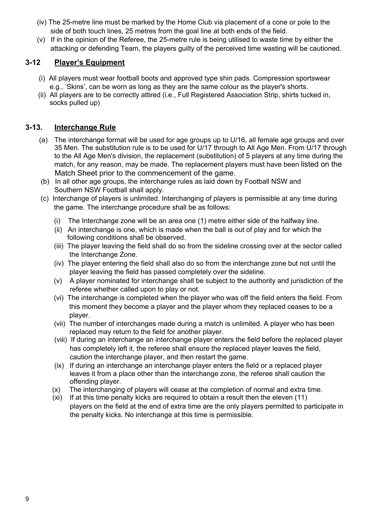- (iv) The 25-metre line must be marked by the Home Club via placement of a cone or pole to the side of both touch lines, 25 metres from the goal line at both ends of the field.
- (v) If in the opinion of the Referee, the 25-metre rule is being utilised to waste time by either the attacking or defending Team, the players guilty of the perceived time wasting will be cautioned.

#### **3-12 Player's Equipment**

- (i) All players must wear football boots and approved type shin pads. Compression sportswear e.g., 'Skins', can be worn as long as they are the same colour as the player's shorts.
- (ii) All players are to be correctly attired (i.e., Full Registered Association Strip, shirts tucked in, socks pulled up)

### **3-13. Interchange Rule**

- (a) The interchange format will be used for age groups up to U/16, all female age groups and over 35 Men. The substitution rule is to be used for U/17 through to All Age Men. From U/17 through to the All Age Men's division, the replacement (substitution) of 5 players at any time during the match, for any reason, may be made. The replacement players must have been listed on the Match Sheet prior to the commencement of the game.
- (b) In all other age groups, the interchange rules as laid down by Football NSW and Southern NSW Football shall apply.
- (c) Interchange of players is unlimited. Interchanging of players is permissible at any time during the game. The interchange procedure shall be as follows:
	- (i) The Interchange zone will be an area one (1) metre either side of the halfway line.
	- (ii) An interchange is one, which is made when the ball is out of play and for which the following conditions shall be observed.
	- (iii) The player leaving the field shall do so from the sideline crossing over at the sector called the Interchange Zone.
	- (iv) The player entering the field shall also do so from the interchange zone but not until the player leaving the field has passed completely over the sideline.
	- (v) A player nominated for interchange shall be subject to the authority and jurisdiction of the referee whether called upon to play or not.
	- (vi) The interchange is completed when the player who was off the field enters the field. From this moment they become a player and the player whom they replaced ceases to be a player.
	- (vii) The number of interchanges made during a match is unlimited. A player who has been replaced may return to the field for another player.
	- (viii) If during an interchange an interchange player enters the field before the replaced player has completely left it, the referee shall ensure the replaced player leaves the field, caution the interchange player, and then restart the game.
	- (ix) If during an interchange an interchange player enters the field or a replaced player leaves it from a place other than the interchange zone, the referee shall caution the offending player.
	- (x) The interchanging of players will cease at the completion of normal and extra time.
	- (xi) If at this time penalty kicks are required to obtain a result then the eleven (11) players on the field at the end of extra time are the only players permitted to participate in the penalty kicks. No interchange at this time is permissible.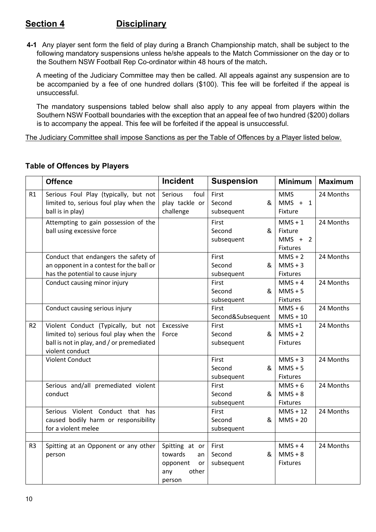### **Section 4 Disciplinary**

**4-1** Any player sent form the field of play during a Branch Championship match, shall be subject to the following mandatory suspensions unless he/she appeals to the Match Commissioner on the day or to the Southern NSW Football Rep Co-ordinator within 48 hours of the match**.**

 A meeting of the Judiciary Committee may then be called. All appeals against any suspension are to be accompanied by a fee of one hundred dollars (\$100). This fee will be forfeited if the appeal is unsuccessful.

 The mandatory suspensions tabled below shall also apply to any appeal from players within the Southern NSW Football boundaries with the exception that an appeal fee of two hundred (\$200) dollars is to accompany the appeal. This fee will be forfeited if the appeal is unsuccessful.

The Judiciary Committee shall impose Sanctions as per the Table of Offences by a Player listed below.

|                | <b>Offence</b>                                                                                                                                | <b>Incident</b>                                                             | <b>Suspension</b>                  | <b>Minimum</b>                                | <b>Maximum</b> |
|----------------|-----------------------------------------------------------------------------------------------------------------------------------------------|-----------------------------------------------------------------------------|------------------------------------|-----------------------------------------------|----------------|
| R1             | Serious Foul Play (typically, but not<br>limited to, serious foul play when the<br>ball is in play)                                           | Serious<br>foul<br>play tackle or<br>challenge                              | First<br>Second<br>&<br>subsequent | <b>MMS</b><br>$MMS + 1$<br>Fixture            | 24 Months      |
|                | Attempting to gain possession of the<br>ball using excessive force                                                                            |                                                                             | First<br>Second<br>&<br>subsequent | $MMS + 1$<br>Fixture<br>$MMS + 2$<br>Fixtures | 24 Months      |
|                | Conduct that endangers the safety of<br>an opponent in a contest for the ball or<br>has the potential to cause injury                         |                                                                             | First<br>Second<br>&<br>subsequent | $MMS + 2$<br>$MMS + 3$<br><b>Fixtures</b>     | 24 Months      |
|                | Conduct causing minor injury                                                                                                                  |                                                                             | First<br>Second<br>&<br>subsequent | $MMS + 4$<br>$MMS + 5$<br><b>Fixtures</b>     | 24 Months      |
|                | Conduct causing serious injury                                                                                                                |                                                                             | First<br>Second&Subsequent         | $MMS + 6$<br>$MMS + 10$                       | 24 Months      |
| R <sub>2</sub> | Violent Conduct (Typically, but not<br>limited to) serious foul play when the<br>ball is not in play, and / or premediated<br>violent conduct | Excessive<br>Force                                                          | First<br>Second<br>&<br>subsequent | $MMS + 1$<br>$MMS + 2$<br><b>Fixtures</b>     | 24 Months      |
|                | <b>Violent Conduct</b>                                                                                                                        |                                                                             | First<br>Second<br>&<br>subsequent | $MMS + 3$<br>$MMS + 5$<br><b>Fixtures</b>     | 24 Months      |
|                | Serious and/all premediated violent<br>conduct                                                                                                |                                                                             | First<br>Second<br>&<br>subsequent | $MMS + 6$<br>$MMS + 8$<br>Fixtures            | 24 Months      |
|                | Serious Violent Conduct that has<br>caused bodily harm or responsibility<br>for a violent melee                                               |                                                                             | First<br>Second<br>&<br>subsequent | $MMS + 12$<br>$MMS + 20$                      | 24 Months      |
| R <sub>3</sub> | Spitting at an Opponent or any other<br>person                                                                                                | Spitting at or<br>towards<br>an<br>opponent<br>or<br>other<br>any<br>person | First<br>Second<br>&<br>subsequent | $MMS + 4$<br>$MMS + 8$<br><b>Fixtures</b>     | 24 Months      |

#### **Table of Offences by Players**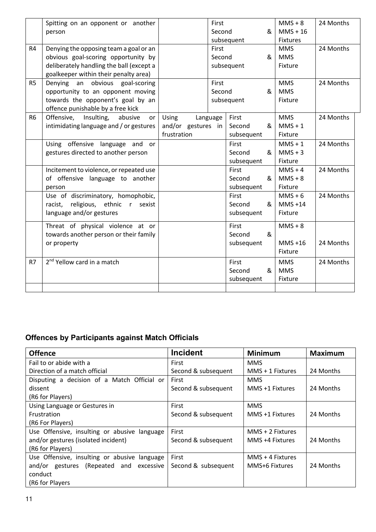|                | Spitting on an opponent or another        |                    | First    |            |                | $MMS + 8$       | 24 Months |
|----------------|-------------------------------------------|--------------------|----------|------------|----------------|-----------------|-----------|
|                | person                                    |                    | Second   |            | &              | $MMS + 16$      |           |
|                |                                           |                    |          | subsequent |                | <b>Fixtures</b> |           |
| R4             | Denying the opposing team a goal or an    |                    | First    |            |                | <b>MMS</b>      | 24 Months |
|                | obvious goal-scoring opportunity by       |                    | Second   |            | &              | <b>MMS</b>      |           |
|                | deliberately handling the ball (except a  |                    |          | subsequent |                | Fixture         |           |
|                | goalkeeper within their penalty area)     |                    |          |            |                |                 |           |
| R <sub>5</sub> | Denying an obvious goal-scoring           |                    | First    |            |                | <b>MMS</b>      | 24 Months |
|                | opportunity to an opponent moving         |                    | Second   |            | &              | <b>MMS</b>      |           |
|                | towards the opponent's goal by an         |                    |          | subsequent |                | <b>Fixture</b>  |           |
|                | offence punishable by a free kick         |                    |          |            |                |                 |           |
| R <sub>6</sub> | Offensive,<br>Insulting,<br>abusive<br>or | Using              | Language | First      |                | <b>MMS</b>      | 24 Months |
|                | intimidating language and / or gestures   | and/or gestures in |          | Second     | &              | $MMS + 1$       |           |
|                |                                           | frustration        |          | subsequent |                | Fixture         |           |
|                | Using offensive language and or           |                    |          | First      |                | $MMS + 1$       | 24 Months |
|                | gestures directed to another person       |                    |          | Second     | &              | $MMS + 3$       |           |
|                |                                           |                    |          | subsequent |                | Fixture         |           |
|                | Incitement to violence, or repeated use   |                    |          | First      |                | $MMS + 4$       | 24 Months |
|                | of offensive language to another          |                    |          | Second     | &              | $MMS + 8$       |           |
|                | person                                    |                    |          | subsequent |                | Fixture         |           |
|                | Use of discriminatory, homophobic,        |                    |          | First      |                | $MMS + 6$       | 24 Months |
|                | racist, religious, ethnic r<br>sexist     |                    |          | Second     | &              | $MMS + 14$      |           |
|                | language and/or gestures                  |                    |          | subsequent |                | Fixture         |           |
|                |                                           |                    |          |            |                |                 |           |
|                | Threat of physical violence at or         |                    |          | First      |                | $MMS + 8$       |           |
|                | towards another person or their family    |                    |          | Second     | &              |                 |           |
|                | or property                               |                    |          | subsequent |                | $MMS + 16$      | 24 Months |
|                |                                           |                    |          |            |                | Fixture         |           |
| R7             | 2 <sup>nd</sup> Yellow card in a match    |                    |          | First      |                | <b>MMS</b>      | 24 Months |
|                |                                           |                    |          | Second     | 8 <sub>1</sub> | <b>MMS</b>      |           |
|                |                                           |                    |          | subsequent |                | Fixture         |           |
|                |                                           |                    |          |            |                |                 |           |

## **Offences by Participants against Match Officials**

| <b>Offence</b>                               | <b>Incident</b>     | <b>Minimum</b>     | <b>Maximum</b> |
|----------------------------------------------|---------------------|--------------------|----------------|
| Fail to or abide with a                      | First               | <b>MMS</b>         |                |
| Direction of a match official                | Second & subsequent | $MMS + 1$ Fixtures | 24 Months      |
| Disputing a decision of a Match Official or  | First               | <b>MMS</b>         |                |
| dissent                                      | Second & subsequent | MMS +1 Fixtures    | 24 Months      |
| (R6 for Players)                             |                     |                    |                |
| Using Language or Gestures in                | <b>First</b>        | <b>MMS</b>         |                |
| <b>Frustration</b>                           | Second & subsequent | MMS +1 Fixtures    | 24 Months      |
| (R6 For Players)                             |                     |                    |                |
| Use Offensive, insulting or abusive language | <b>First</b>        | $MMS + 2$ Fixtures |                |
| and/or gestures (isolated incident)          | Second & subsequent | MMS +4 Fixtures    | 24 Months      |
| (R6 for Players)                             |                     |                    |                |
| Use Offensive, insulting or abusive language | First               | $MMS + 4$ Fixtures |                |
| and/or gestures (Repeated and<br>excessive   | Second & subsequent | MMS+6 Fixtures     | 24 Months      |
| conduct                                      |                     |                    |                |
| (R6 for Players                              |                     |                    |                |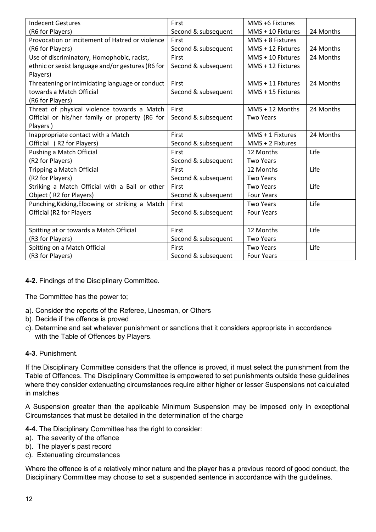| <b>Indecent Gestures</b>                          | First               | MMS +6 Fixtures   |           |
|---------------------------------------------------|---------------------|-------------------|-----------|
| (R6 for Players)                                  | Second & subsequent | MMS + 10 Fixtures | 24 Months |
| Provocation or incitement of Hatred or violence   | First               | MMS + 8 Fixtures  |           |
| (R6 for Players)                                  | Second & subsequent | MMS + 12 Fixtures | 24 Months |
| Use of discriminatory, Homophobic, racist,        | First               | MMS + 10 Fixtures | 24 Months |
| ethnic or sexist language and/or gestures (R6 for | Second & subsequent | MMS + 12 Fixtures |           |
| Players)                                          |                     |                   |           |
| Threatening or intimidating language or conduct   | First               | MMS + 11 Fixtures | 24 Months |
| towards a Match Official                          | Second & subsequent | MMS + 15 Fixtures |           |
| (R6 for Players)                                  |                     |                   |           |
| Threat of physical violence towards a Match       | First               | $MMS + 12$ Months | 24 Months |
| Official or his/her family or property (R6 for    | Second & subsequent | <b>Two Years</b>  |           |
| Players)                                          |                     |                   |           |
| Inappropriate contact with a Match                | First               | MMS + 1 Fixtures  | 24 Months |
| Official (R2 for Players)                         | Second & subsequent | MMS + 2 Fixtures  |           |
| Pushing a Match Official                          | First               | 12 Months         | Life      |
| (R2 for Players)                                  | Second & subsequent | <b>Two Years</b>  |           |
| Tripping a Match Official                         | First               | 12 Months         | Life      |
| (R2 for Players)                                  | Second & subsequent | <b>Two Years</b>  |           |
| Striking a Match Official with a Ball or other    | First               | <b>Two Years</b>  | Life      |
| Object (R2 for Players)                           | Second & subsequent | <b>Four Years</b> |           |
| Punching, Kicking, Elbowing or striking a Match   | First               | <b>Two Years</b>  | Life      |
| Official (R2 for Players                          | Second & subsequent | <b>Four Years</b> |           |
|                                                   |                     |                   |           |
| Spitting at or towards a Match Official           | First               | 12 Months         | Life      |
| (R3 for Players)                                  | Second & subsequent | <b>Two Years</b>  |           |
| Spitting on a Match Official                      | First               | <b>Two Years</b>  | Life      |
| (R3 for Players)                                  | Second & subsequent | <b>Four Years</b> |           |

#### **4-2.** Findings of the Disciplinary Committee.

The Committee has the power to;

- a). Consider the reports of the Referee, Linesman, or Others
- b). Decide if the offence is proved
- c). Determine and set whatever punishment or sanctions that it considers appropriate in accordance with the Table of Offences by Players.

#### **4-3**. Punishment.

If the Disciplinary Committee considers that the offence is proved, it must select the punishment from the Table of Offences. The Disciplinary Committee is empowered to set punishments outside these guidelines where they consider extenuating circumstances require either higher or lesser Suspensions not calculated in matches

A Suspension greater than the applicable Minimum Suspension may be imposed only in exceptional Circumstances that must be detailed in the determination of the charge

**4-4.** The Disciplinary Committee has the right to consider:

- a). The severity of the offence
- b). The player's past record
- c). Extenuating circumstances

Where the offence is of a relatively minor nature and the player has a previous record of good conduct, the Disciplinary Committee may choose to set a suspended sentence in accordance with the guidelines.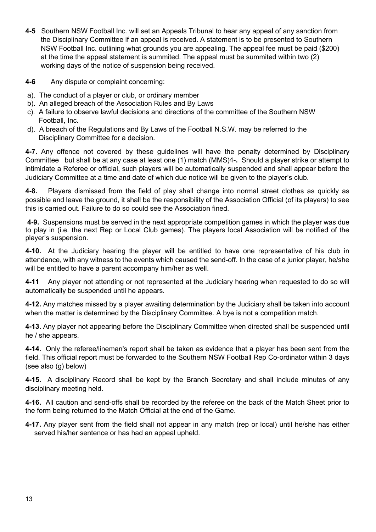**4-5** Southern NSW Football Inc. will set an Appeals Tribunal to hear any appeal of any sanction from the Disciplinary Committee if an appeal is received. A statement is to be presented to Southern NSW Football Inc. outlining what grounds you are appealing. The appeal fee must be paid (\$200) at the time the appeal statement is summited. The appeal must be summited within two (2) working days of the notice of suspension being received.

**4-6** Any dispute or complaint concerning:

- a). The conduct of a player or club, or ordinary member
- b). An alleged breach of the Association Rules and By Laws
- c). A failure to observe lawful decisions and directions of the committee of the Southern NSW Football, Inc.
- d). A breach of the Regulations and By Laws of the Football N.S.W. may be referred to the Disciplinary Committee for a decision.

**4-7.** Any offence not covered by these guidelines will have the penalty determined by Disciplinary Committee but shall be at any case at least one (1) match (MMS)4-**.** Should a player strike or attempt to intimidate a Referee or official, such players will be automatically suspended and shall appear before the Judiciary Committee at a time and date of which due notice will be given to the player's club.

**4-8.** Players dismissed from the field of play shall change into normal street clothes as quickly as possible and leave the ground, it shall be the responsibility of the Association Official (of its players) to see this is carried out. Failure to do so could see the Association fined.

**4-9.** Suspensions must be served in the next appropriate competition games in which the player was due to play in (i.e. the next Rep or Local Club games). The players local Association will be notified of the player's suspension.

**4-10.** At the Judiciary hearing the player will be entitled to have one representative of his club in attendance, with any witness to the events which caused the send-off. In the case of a junior player, he/she will be entitled to have a parent accompany him/her as well.

**4-11** Any player not attending or not represented at the Judiciary hearing when requested to do so will automatically be suspended until he appears.

**4-12.** Any matches missed by a player awaiting determination by the Judiciary shall be taken into account when the matter is determined by the Disciplinary Committee. A bye is not a competition match.

**4-13.** Any player not appearing before the Disciplinary Committee when directed shall be suspended until he / she appears.

**4-14.** Only the referee/lineman's report shall be taken as evidence that a player has been sent from the field. This official report must be forwarded to the Southern NSW Football Rep Co-ordinator within 3 days (see also (g) below)

**4-15.** A disciplinary Record shall be kept by the Branch Secretary and shall include minutes of any disciplinary meeting held.

**4-16.** All caution and send-offs shall be recorded by the referee on the back of the Match Sheet prior to the form being returned to the Match Official at the end of the Game.

**4-17.** Any player sent from the field shall not appear in any match (rep or local) until he/she has either served his/her sentence or has had an appeal upheld.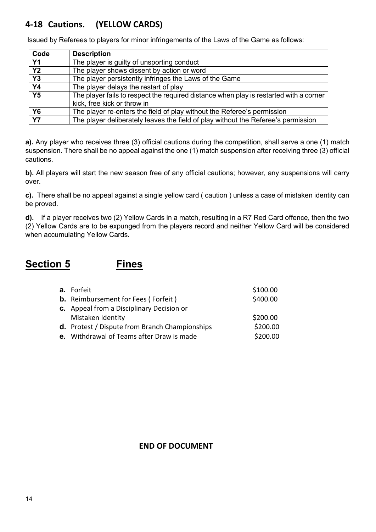## **4-18 Cautions. (YELLOW CARDS)**

**Code Description Y1** The player is guilty of unsporting conduct **Y2** The player shows dissent by action or word **Y3** The player persistently infringes the Laws of the Game **Y4** The player delays the restart of play **Y5** The player fails to respect the required distance when play is restarted with a corner kick, free kick or throw in **Y6** The player re-enters the field of play without the Referee's permission **Y7** The player deliberately leaves the field of play without the Referee's permission

Issued by Referees to players for minor infringements of the Laws of the Game as follows:

**a).** Any player who receives three (3) official cautions during the competition, shall serve a one (1) match suspension. There shall be no appeal against the one (1) match suspension after receiving three (3) official cautions.

**b).** All players will start the new season free of any official cautions; however, any suspensions will carry over.

**c).** There shall be no appeal against a single yellow card ( caution ) unless a case of mistaken identity can be proved.

**d).** If a player receives two (2) Yellow Cards in a match, resulting in a R7 Red Card offence, then the two (2) Yellow Cards are to be expunged from the players record and neither Yellow Card will be considered when accumulating Yellow Cards.

## **Section 5 Fines**

| a. Forfeit                                            | \$100.00 |
|-------------------------------------------------------|----------|
| <b>b.</b> Reimbursement for Fees (Forfeit)            | \$400.00 |
| <b>c.</b> Appeal from a Disciplinary Decision or      |          |
| Mistaken Identity                                     | \$200.00 |
| <b>d.</b> Protest / Dispute from Branch Championships | \$200.00 |
| e. Withdrawal of Teams after Draw is made             | \$200.00 |
|                                                       |          |

#### **END OF DOCUMENT**